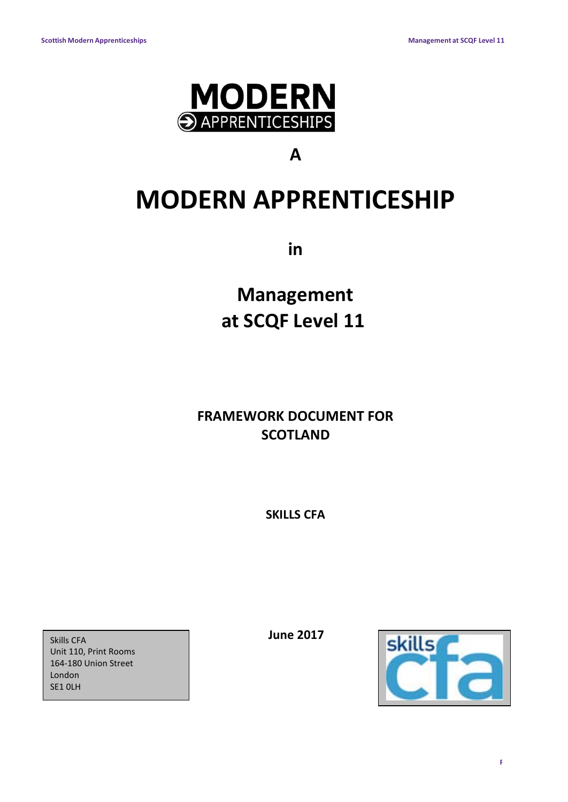

## **A**

# **MODERN APPRENTICESHIP**

**in**

**Management at SCQF Level 11**

**FRAMEWORK DOCUMENT FOR SCOTLAND**

**SKILLS CFA**

*Skills CFA* **1 June 2017** Unit 110, Print Rooms 164-180 Union Street London SE1 0LH

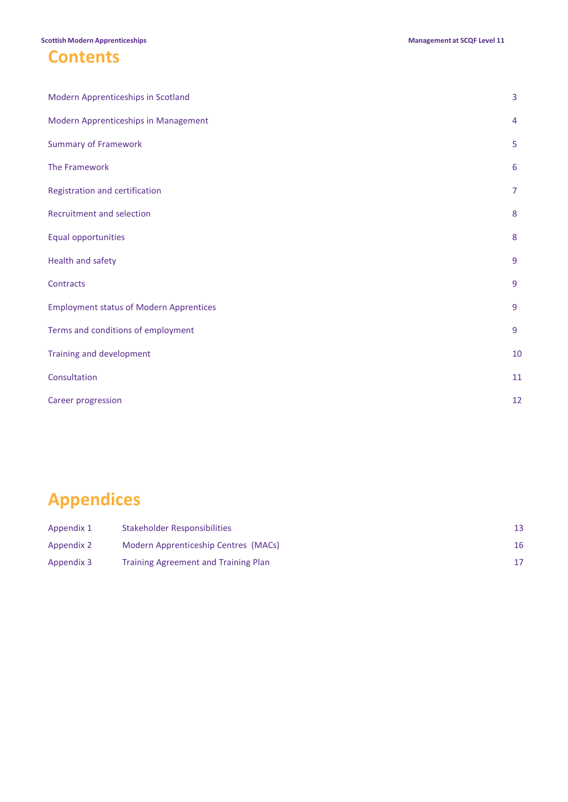### **Contents**

| Modern Apprenticeships in Scotland             | 3              |
|------------------------------------------------|----------------|
| Modern Apprenticeships in Management           | $\overline{4}$ |
| <b>Summary of Framework</b>                    | 5              |
| The Framework                                  | 6              |
| Registration and certification                 | $\overline{7}$ |
| <b>Recruitment and selection</b>               | 8              |
| Equal opportunities                            | 8              |
| Health and safety                              | 9              |
| Contracts                                      | 9              |
| <b>Employment status of Modern Apprentices</b> | 9              |
| Terms and conditions of employment             | 9              |
| Training and development                       | 10             |
| Consultation                                   | 11             |
| Career progression                             | 12             |

## **Appendices**

| Appendix 1 | Stakeholder Responsibilities                |    |
|------------|---------------------------------------------|----|
| Appendix 2 | Modern Apprenticeship Centres (MACs)        | 16 |
| Appendix 3 | <b>Training Agreement and Training Plan</b> |    |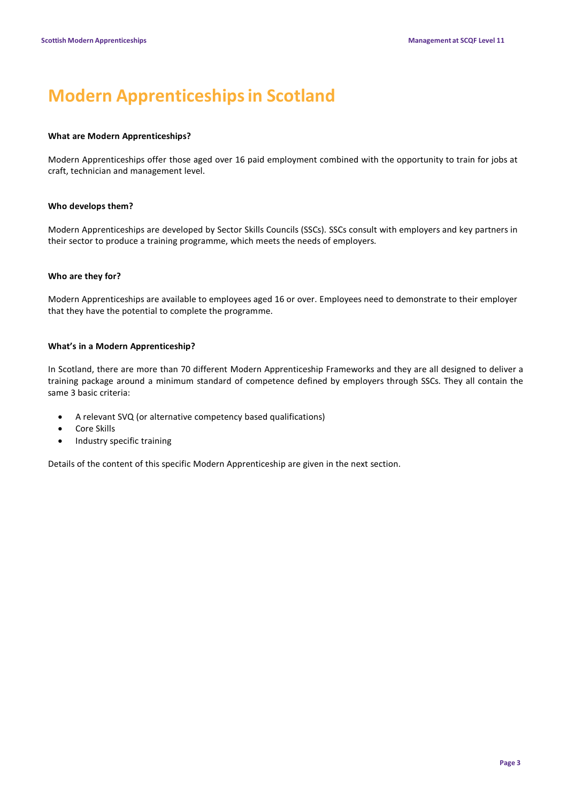## **Modern Apprenticeshipsin Scotland**

#### **What are Modern Apprenticeships?**

Modern Apprenticeships offer those aged over 16 paid employment combined with the opportunity to train for jobs at craft, technician and management level.

#### **Who develops them?**

Modern Apprenticeships are developed by Sector Skills Councils (SSCs). SSCs consult with employers and key partners in their sector to produce a training programme, which meets the needs of employers.

### **Who are they for?**

Modern Apprenticeships are available to employees aged 16 or over. Employees need to demonstrate to their employer that they have the potential to complete the programme.

### **What's in a Modern Apprenticeship?**

In Scotland, there are more than 70 different Modern Apprenticeship Frameworks and they are all designed to deliver a training package around a minimum standard of competence defined by employers through SSCs. They all contain the same 3 basic criteria:

- A relevant SVQ (or alternative competency based qualifications)
- Core Skills
- Industry specific training

Details of the content of this specific Modern Apprenticeship are given in the next section.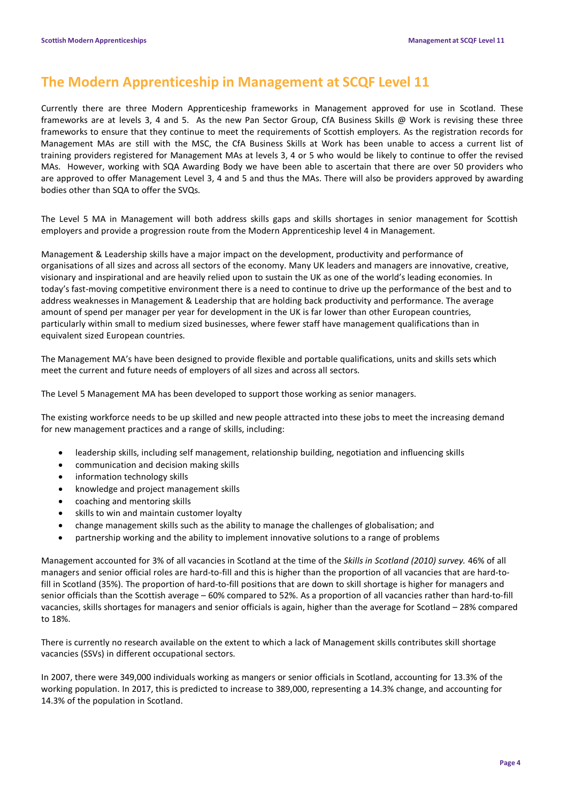### **The Modern Apprenticeship in Management at SCQF Level 11**

Currently there are three Modern Apprenticeship frameworks in Management approved for use in Scotland. These frameworks are at levels 3, 4 and 5. As the new Pan Sector Group, CfA Business Skills @ Work is revising these three frameworks to ensure that they continue to meet the requirements of Scottish employers. As the registration records for Management MAs are still with the MSC, the CfA Business Skills at Work has been unable to access a current list of training providers registered for Management MAs at levels 3, 4 or 5 who would be likely to continue to offer the revised MAs. However, working with SQA Awarding Body we have been able to ascertain that there are over 50 providers who are approved to offer Management Level 3, 4 and 5 and thus the MAs. There will also be providers approved by awarding bodies other than SQA to offer the SVQs.

The Level 5 MA in Management will both address skills gaps and skills shortages in senior management for Scottish employers and provide a progression route from the Modern Apprenticeship level 4 in Management.

Management & Leadership skills have a major impact on the development, productivity and performance of organisations of all sizes and across all sectors of the economy. Many UK leaders and managers are innovative, creative, visionary and inspirational and are heavily relied upon to sustain the UK as one of the world's leading economies. In today's fast-moving competitive environment there is a need to continue to drive up the performance of the best and to address weaknesses in Management & Leadership that are holding back productivity and performance. The average amount of spend per manager per year for development in the UK is far lower than other European countries, particularly within small to medium sized businesses, where fewer staff have management qualifications than in equivalent sized European countries.

The Management MA's have been designed to provide flexible and portable qualifications, units and skills sets which meet the current and future needs of employers of all sizes and across all sectors.

The Level 5 Management MA has been developed to support those working as senior managers.

The existing workforce needs to be up skilled and new people attracted into these jobs to meet the increasing demand for new management practices and a range of skills, including:

- leadership skills, including self management, relationship building, negotiation and influencing skills
- communication and decision making skills
- information technology skills
- knowledge and project management skills
- coaching and mentoring skills
- skills to win and maintain customer loyalty
- change management skills such as the ability to manage the challenges of globalisation; and
- partnership working and the ability to implement innovative solutions to a range of problems

Management accounted for 3% of all vacancies in Scotland at the time of the *Skills in Scotland (2010) survey.* 46% of all managers and senior official roles are hard-to-fill and this is higher than the proportion of all vacancies that are hard-tofill in Scotland (35%). The proportion of hard-to-fill positions that are down to skill shortage is higher for managers and senior officials than the Scottish average – 60% compared to 52%. As a proportion of all vacancies rather than hard-to-fill vacancies, skills shortages for managers and senior officials is again, higher than the average for Scotland – 28% compared to 18%.

There is currently no research available on the extent to which a lack of Management skills contributes skill shortage vacancies (SSVs) in different occupational sectors.

In 2007, there were 349,000 individuals working as mangers or senior officials in Scotland, accounting for 13.3% of the working population. In 2017, this is predicted to increase to 389,000, representing a 14.3% change, and accounting for 14.3% of the population in Scotland.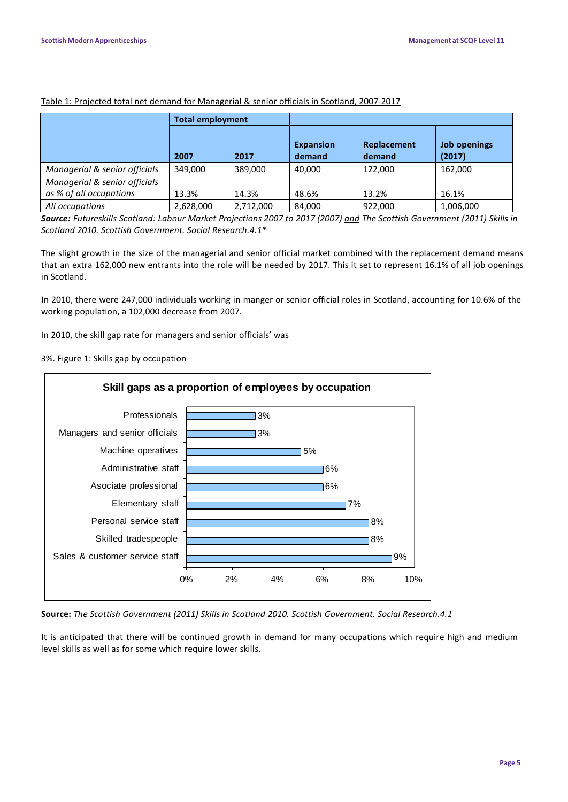|                                                          | <b>Total employment</b> |           |                            |                       |                        |
|----------------------------------------------------------|-------------------------|-----------|----------------------------|-----------------------|------------------------|
|                                                          | 2007                    | 2017      | <b>Expansion</b><br>demand | Replacement<br>demand | Job openings<br>(2017) |
| Managerial & senior officials                            | 349,000                 | 389,000   | 40.000                     | 122,000               | 162,000                |
| Managerial & senior officials<br>as % of all occupations | 13.3%                   | 14.3%     | 48.6%                      | 13.2%                 | 16.1%                  |
| All occupations                                          | 2,628,000               | 2,712,000 | 84.000                     | 922,000               | 1,006,000              |

#### Table 1: Projected total net demand for Managerial & senior officials in Scotland, 2007-2017

Source: Futureskills Scotland: Labour Market Projections 2007 to 2017 (2007) and The Scottish Government (2011) Skills in *Scotland 2010. Scottish Government. Social Research.4.1\**

The slight growth in the size of the managerial and senior official market combined with the replacement demand means that an extra 162,000 new entrants into the role will be needed by 2017. This it set to represent 16.1% of all job openings in Scotland.

In 2010, there were 247,000 individuals working in manger or senior official roles in Scotland, accounting for 10.6% of the working population, a 102,000 decrease from 2007.

In 2010, the skill gap rate for managers and senior officials' was

### 3%. Figure 1: Skills gap by occupation



**Source:** *The Scottish Government (2011) Skills in Scotland 2010. Scottish Government. Social Research.4.1*

It is anticipated that there will be continued growth in demand for many occupations which require high and medium level skills as well as for some which require lower skills.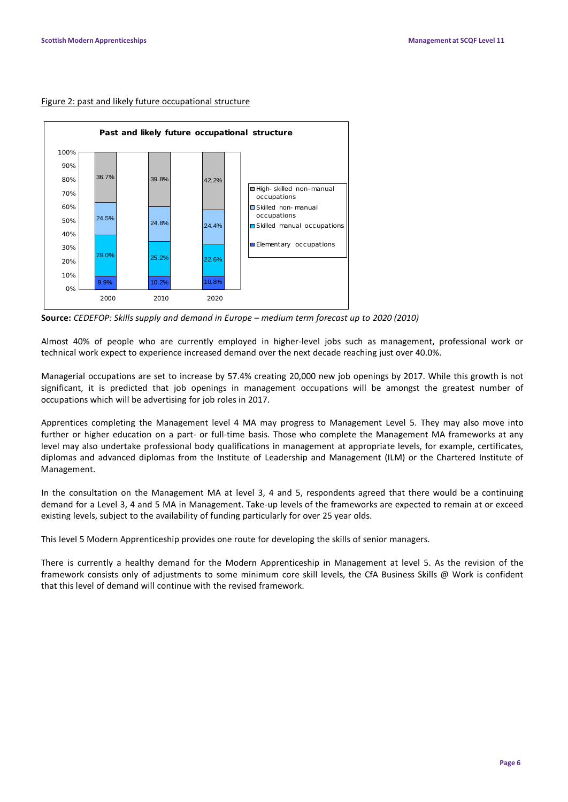#### Figure 2: past and likely future occupational structure



**Source:** *CEDEFOP: Skills supply and demand in Europe – medium term forecast up to 2020 (2010)*

Almost 40% of people who are currently employed in higher-level jobs such as management, professional work or technical work expect to experience increased demand over the next decade reaching just over 40.0%.

Managerial occupations are set to increase by 57.4% creating 20,000 new job openings by 2017. While this growth is not significant, it is predicted that job openings in management occupations will be amongst the greatest number of occupations which will be advertising for job roles in 2017.

Apprentices completing the Management level 4 MA may progress to Management Level 5. They may also move into further or higher education on a part- or full-time basis. Those who complete the Management MA frameworks at any level may also undertake professional body qualifications in management at appropriate levels, for example, certificates, diplomas and advanced diplomas from the Institute of Leadership and Management (ILM) or the Chartered Institute of Management.

In the consultation on the Management MA at level 3, 4 and 5, respondents agreed that there would be a continuing demand for a Level 3, 4 and 5 MA in Management. Take-up levels of the frameworks are expected to remain at or exceed existing levels, subject to the availability of funding particularly for over 25 year olds.

This level 5 Modern Apprenticeship provides one route for developing the skills of senior managers.

There is currently a healthy demand for the Modern Apprenticeship in Management at level 5. As the revision of the framework consists only of adjustments to some minimum core skill levels, the CfA Business Skills @ Work is confident that this level of demand will continue with the revised framework.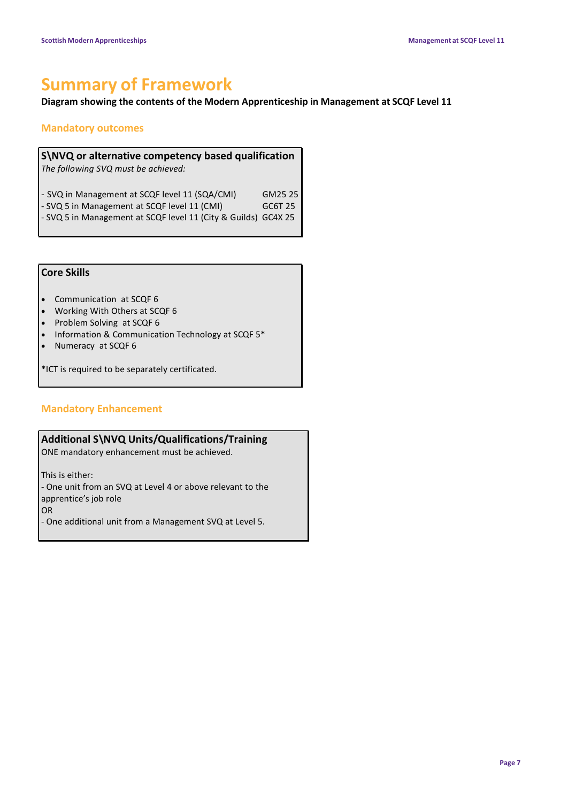## **Summary of Framework**

### **Diagram showing the contents of the Modern Apprenticeship in Management at SCQF Level 11**

### **Mandatory outcomes**

**S\NVQ or alternative competency based qualification** *The following SVQ must be achieved:* - SVQ in Management at SCQF level 11 (SQA/CMI) GM25 25 - SVQ 5 in Management at SCQF level 11 (CMI) GC6T 25

- SVQ 5 in Management at SCQF level 11 (City & Guilds) GC4X 25

### **Core Skills**

- Communication at SCQF 6
- Working With Others at SCQF 6
- Problem Solving at SCQF 6
- Information & Communication Technology at SCQF 5\*
- Numeracy at SCQF 6

\*ICT is required to be separately certificated.

### **Mandatory Enhancement**

### **Additional S\NVQ Units/Qualifications/Training**

ONE mandatory enhancement must be achieved.

This is either:

- One unit from an SVQ at Level 4 or above relevant to the apprentice's job role

OR

- One additional unit from a Management SVQ at Level 5.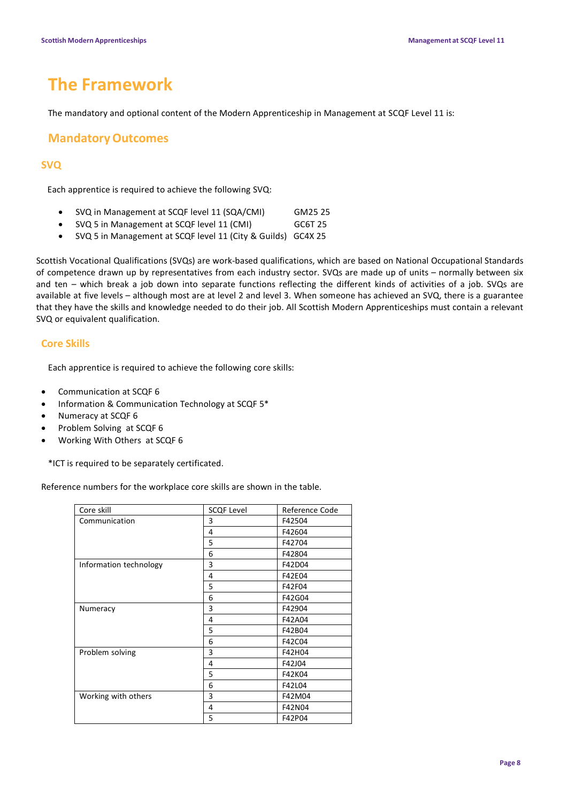## **The Framework**

The mandatory and optional content of the Modern Apprenticeship in Management at SCQF Level 11 is:

### **MandatoryOutcomes**

### **SVQ**

Each apprentice is required to achieve the following SVQ:

- SVQ in Management at SCQF level 11 (SQA/CMI) GM25 25
- SVQ 5 in Management at SCQF level 11 (CMI) GC6T 25
- SVQ 5 in Management at SCQF level 11 (City & Guilds) GC4X 25

Scottish Vocational Qualifications (SVQs) are work-based qualifications, which are based on National Occupational Standards of competence drawn up by representatives from each industry sector. SVQs are made up of units – normally between six and ten – which break a job down into separate functions reflecting the different kinds of activities of a job. SVQs are available at five levels – although most are at level 2 and level 3. When someone has achieved an SVQ, there is a guarantee that they have the skills and knowledge needed to do their job. All Scottish Modern Apprenticeships must contain a relevant SVQ or equivalent qualification.

### **Core Skills**

Each apprentice is required to achieve the following core skills:

- Communication at SCQF 6
- Information & Communication Technology at SCQF 5\*
- Numeracy at SCQF 6
- Problem Solving at SCQF 6
- Working With Others at SCQF 6

\*ICT is required to be separately certificated.

Reference numbers for the workplace core skills are shown in the table.

| Core skill             | <b>SCQF Level</b> | Reference Code |
|------------------------|-------------------|----------------|
| Communication          | 3                 | F42504         |
|                        | 4                 | F42604         |
|                        | 5                 | F42704         |
|                        | 6                 | F42804         |
| Information technology | 3                 | F42D04         |
|                        | 4                 | F42E04         |
|                        | 5                 | F42F04         |
|                        | 6                 | F42G04         |
| Numeracy               | 3                 | F42904         |
|                        | 4                 | F42A04         |
|                        | 5                 | F42B04         |
|                        | 6                 | F42C04         |
| Problem solving        | 3                 | F42H04         |
|                        | 4                 | F42J04         |
|                        | 5                 | F42K04         |
|                        | 6                 | F42L04         |
| Working with others    | 3                 | F42M04         |
|                        | 4                 | F42N04         |
|                        | 5                 | F42P04         |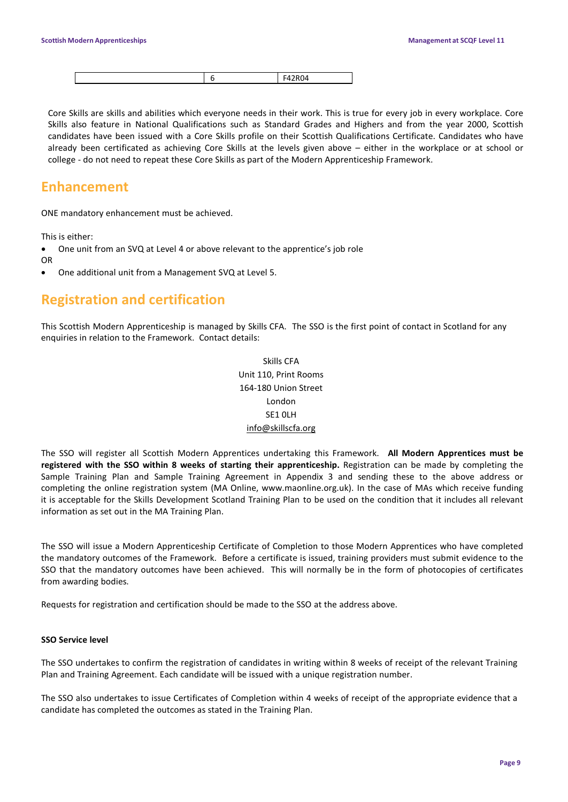|--|--|--|--|

Core Skills are skills and abilities which everyone needs in their work. This is true for every job in every workplace. Core Skills also feature in National Qualifications such as Standard Grades and Highers and from the year 2000, Scottish candidates have been issued with a Core Skills profile on their Scottish Qualifications Certificate. Candidates who have already been certificated as achieving Core Skills at the levels given above – either in the workplace or at school or college - do not need to repeat these Core Skills as part of the Modern Apprenticeship Framework.

### **Enhancement**

ONE mandatory enhancement must be achieved.

This is either:

• One unit from an SVQ at Level 4 or above relevant to the apprentice's job role OR

• One additional unit from a Management SVQ at Level 5.

### **Registration and certification**

This Scottish Modern Apprenticeship is managed by Skills CFA. The SSO is the first point of contact in Scotland for any enquiries in relation to the Framework. Contact details:

> Skills CFA Unit 110, Print Rooms 164-180 Union Street London SE1 0LH [info@skillscfa.org](mailto:info@skillscfa.org)

The SSO will register all Scottish Modern Apprentices undertaking this Framework. **All Modern Apprentices must be registered with the SSO within 8 weeks of starting their apprenticeship.** Registration can be made by completing the Sample Training Plan and Sample Training Agreement in Appendix 3 and sending these to the above address or completing the online registration system (MA Online, www.maonline.org.uk). In the case of MAs which receive funding it is acceptable for the Skills Development Scotland Training Plan to be used on the condition that it includes all relevant information as set out in the MA Training Plan.

The SSO will issue a Modern Apprenticeship Certificate of Completion to those Modern Apprentices who have completed the mandatory outcomes of the Framework. Before a certificate is issued, training providers must submit evidence to the SSO that the mandatory outcomes have been achieved. This will normally be in the form of photocopies of certificates from awarding bodies.

Requests for registration and certification should be made to the SSO at the address above.

#### **SSO Service level**

The SSO undertakes to confirm the registration of candidates in writing within 8 weeks of receipt of the relevant Training Plan and Training Agreement. Each candidate will be issued with a unique registration number.

The SSO also undertakes to issue Certificates of Completion within 4 weeks of receipt of the appropriate evidence that a candidate has completed the outcomes as stated in the Training Plan.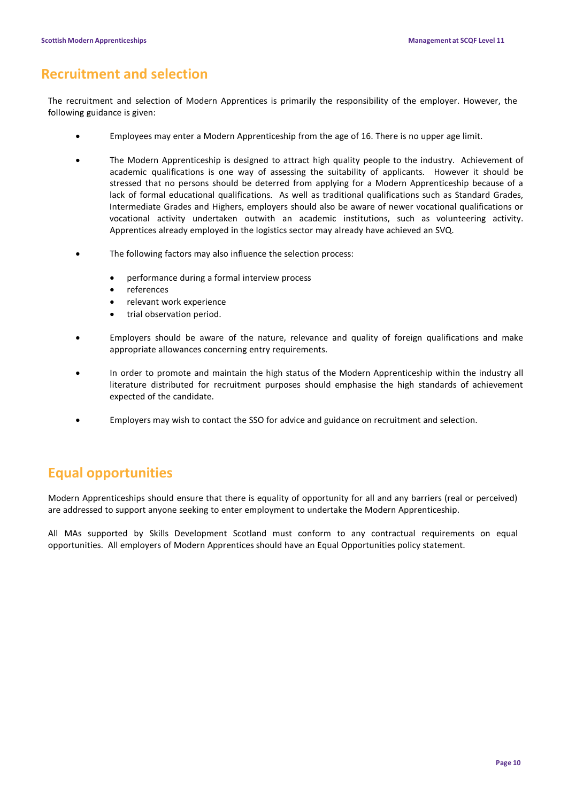### **Recruitment and selection**

The recruitment and selection of Modern Apprentices is primarily the responsibility of the employer. However, the following guidance is given:

- Employees may enter a Modern Apprenticeship from the age of 16. There is no upper age limit.
- The Modern Apprenticeship is designed to attract high quality people to the industry. Achievement of academic qualifications is one way of assessing the suitability of applicants. However it should be stressed that no persons should be deterred from applying for a Modern Apprenticeship because of a lack of formal educational qualifications. As well as traditional qualifications such as Standard Grades, Intermediate Grades and Highers, employers should also be aware of newer vocational qualifications or vocational activity undertaken outwith an academic institutions, such as volunteering activity. Apprentices already employed in the logistics sector may already have achieved an SVQ.
- The following factors may also influence the selection process:
	- performance during a formal interview process
	- references
	- relevant work experience
	- trial observation period.
- Employers should be aware of the nature, relevance and quality of foreign qualifications and make appropriate allowances concerning entry requirements.
- In order to promote and maintain the high status of the Modern Apprenticeship within the industry all literature distributed for recruitment purposes should emphasise the high standards of achievement expected of the candidate.
- Employers may wish to contact the SSO for advice and guidance on recruitment and selection.

### **Equal opportunities**

Modern Apprenticeships should ensure that there is equality of opportunity for all and any barriers (real or perceived) are addressed to support anyone seeking to enter employment to undertake the Modern Apprenticeship.

All MAs supported by Skills Development Scotland must conform to any contractual requirements on equal opportunities. All employers of Modern Apprentices should have an Equal Opportunities policy statement.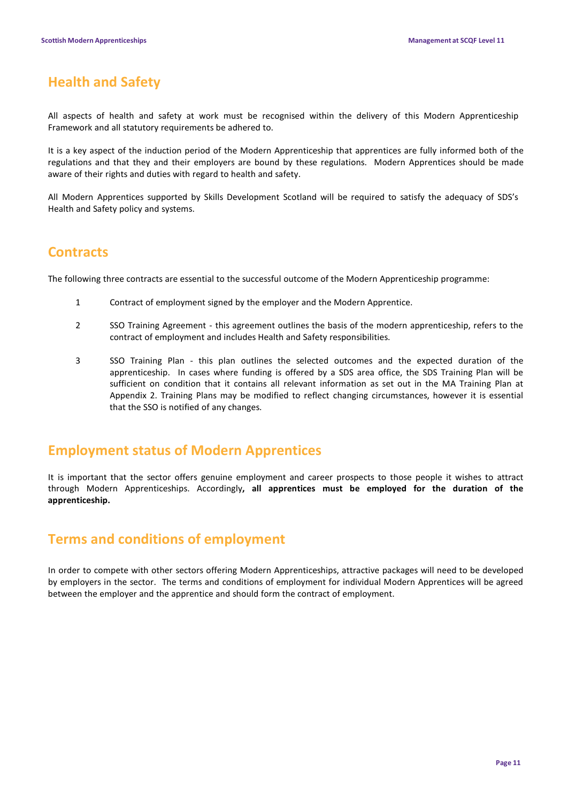### **Health and Safety**

All aspects of health and safety at work must be recognised within the delivery of this Modern Apprenticeship Framework and all statutory requirements be adhered to.

It is a key aspect of the induction period of the Modern Apprenticeship that apprentices are fully informed both of the regulations and that they and their employers are bound by these regulations. Modern Apprentices should be made aware of their rights and duties with regard to health and safety.

All Modern Apprentices supported by Skills Development Scotland will be required to satisfy the adequacy of SDS's Health and Safety policy and systems.

### **Contracts**

The following three contracts are essential to the successful outcome of the Modern Apprenticeship programme:

- 1 Contract of employment signed by the employer and the Modern Apprentice.
- 2 SSO Training Agreement this agreement outlines the basis of the modern apprenticeship, refers to the contract of employment and includes Health and Safety responsibilities.
- 3 SSO Training Plan this plan outlines the selected outcomes and the expected duration of the apprenticeship. In cases where funding is offered by a SDS area office, the SDS Training Plan will be sufficient on condition that it contains all relevant information as set out in the MA Training Plan at Appendix 2. Training Plans may be modified to reflect changing circumstances, however it is essential that the SSO is notified of any changes.

### **Employment status of Modern Apprentices**

It is important that the sector offers genuine employment and career prospects to those people it wishes to attract through Modern Apprenticeships. Accordingly**, all apprentices must be employed for the duration of the apprenticeship.**

### **Terms and conditions of employment**

In order to compete with other sectors offering Modern Apprenticeships, attractive packages will need to be developed by employers in the sector. The terms and conditions of employment for individual Modern Apprentices will be agreed between the employer and the apprentice and should form the contract of employment.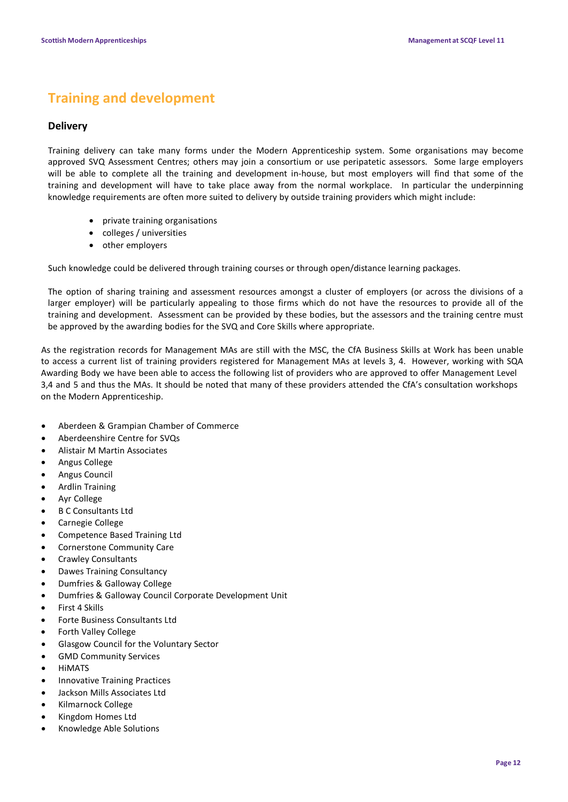### **Training and development**

### **Delivery**

Training delivery can take many forms under the Modern Apprenticeship system. Some organisations may become approved SVQ Assessment Centres; others may join a consortium or use peripatetic assessors. Some large employers will be able to complete all the training and development in-house, but most employers will find that some of the training and development will have to take place away from the normal workplace. In particular the underpinning knowledge requirements are often more suited to delivery by outside training providers which might include:

- private training organisations
- colleges / universities
- other employers

Such knowledge could be delivered through training courses or through open/distance learning packages.

The option of sharing training and assessment resources amongst a cluster of employers (or across the divisions of a larger employer) will be particularly appealing to those firms which do not have the resources to provide all of the training and development. Assessment can be provided by these bodies, but the assessors and the training centre must be approved by the awarding bodies for the SVQ and Core Skills where appropriate.

As the registration records for Management MAs are still with the MSC, the CfA Business Skills at Work has been unable to access a current list of training providers registered for Management MAs at levels 3, 4. However, working with SQA Awarding Body we have been able to access the following list of providers who are approved to offer Management Level 3,4 and 5 and thus the MAs. It should be noted that many of these providers attended the CfA's consultation workshops on the Modern Apprenticeship.

- Aberdeen & Grampian Chamber of Commerce
- Aberdeenshire Centre for SVQs
- Alistair M Martin Associates
- Angus College
- Angus Council
- Ardlin Training
- Ayr College
- B C Consultants Ltd
- Carnegie College
- Competence Based Training Ltd
- Cornerstone Community Care
- Crawley Consultants
- Dawes Training Consultancy
- Dumfries & Galloway College
- Dumfries & Galloway Council Corporate Development Unit
- First 4 Skills
- Forte Business Consultants Ltd
- Forth Valley College
- Glasgow Council for the Voluntary Sector
- GMD Community Services
- **HIMATS**
- Innovative Training Practices
- Jackson Mills Associates Ltd
- Kilmarnock College
- Kingdom Homes Ltd
- Knowledge Able Solutions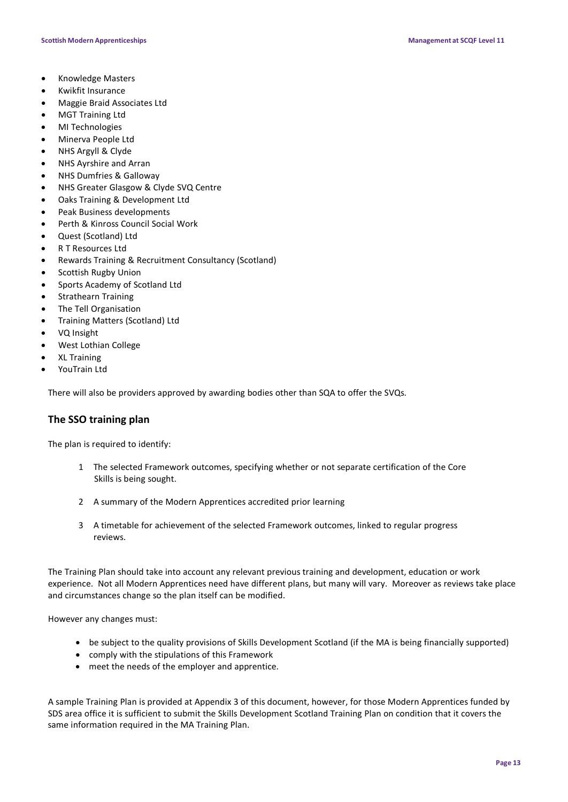- Knowledge Masters
- Kwikfit Insurance
- Maggie Braid Associates Ltd
- MGT Training Ltd
- MI Technologies
- Minerva People Ltd
- NHS Argyll & Clyde
- NHS Ayrshire and Arran
- NHS Dumfries & Galloway
- NHS Greater Glasgow & Clyde SVQ Centre
- Oaks Training & Development Ltd
- Peak Business developments
- Perth & Kinross Council Social Work
- Quest (Scotland) Ltd
- R T Resources Ltd
- Rewards Training & Recruitment Consultancy (Scotland)
- Scottish Rugby Union
- Sports Academy of Scotland Ltd
- Strathearn Training
- The Tell Organisation
- Training Matters (Scotland) Ltd
- VQ Insight
- West Lothian College
- XL Training
- YouTrain Ltd

There will also be providers approved by awarding bodies other than SQA to offer the SVQs.

### **The SSO training plan**

The plan is required to identify:

- 1 The selected Framework outcomes, specifying whether or not separate certification of the Core Skills is being sought.
- 2 A summary of the Modern Apprentices accredited prior learning
- 3 A timetable for achievement of the selected Framework outcomes, linked to regular progress reviews.

The Training Plan should take into account any relevant previous training and development, education or work experience. Not all Modern Apprentices need have different plans, but many will vary. Moreover as reviews take place and circumstances change so the plan itself can be modified.

However any changes must:

- be subject to the quality provisions of Skills Development Scotland (if the MA is being financially supported)
- comply with the stipulations of this Framework
- meet the needs of the employer and apprentice.

A sample Training Plan is provided at Appendix 3 of this document, however, for those Modern Apprentices funded by SDS area office it is sufficient to submit the Skills Development Scotland Training Plan on condition that it covers the same information required in the MA Training Plan.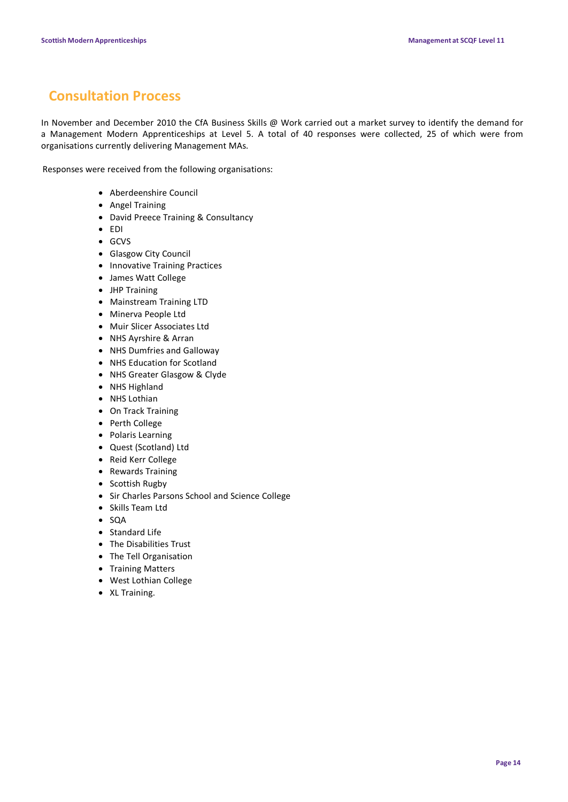### **Consultation Process**

In November and December 2010 the CfA Business Skills @ Work carried out a market survey to identify the demand for a Management Modern Apprenticeships at Level 5. A total of 40 responses were collected, 25 of which were from organisations currently delivering Management MAs.

Responses were received from the following organisations:

- Aberdeenshire Council
- Angel Training
- David Preece Training & Consultancy
- EDI
- GCVS
- Glasgow City Council
- Innovative Training Practices
- James Watt College
- JHP Training
- Mainstream Training LTD
- Minerva People Ltd
- Muir Slicer Associates Ltd
- NHS Ayrshire & Arran
- NHS Dumfries and Galloway
- NHS Education for Scotland
- NHS Greater Glasgow & Clyde
- NHS Highland
- NHS Lothian
- On Track Training
- Perth College
- Polaris Learning
- Quest (Scotland) Ltd
- Reid Kerr College
- Rewards Training
- Scottish Rugby
- Sir Charles Parsons School and Science College
- Skills Team Ltd
- SQA
- Standard Life
- The Disabilities Trust
- The Tell Organisation
- Training Matters
- West Lothian College
- XL Training.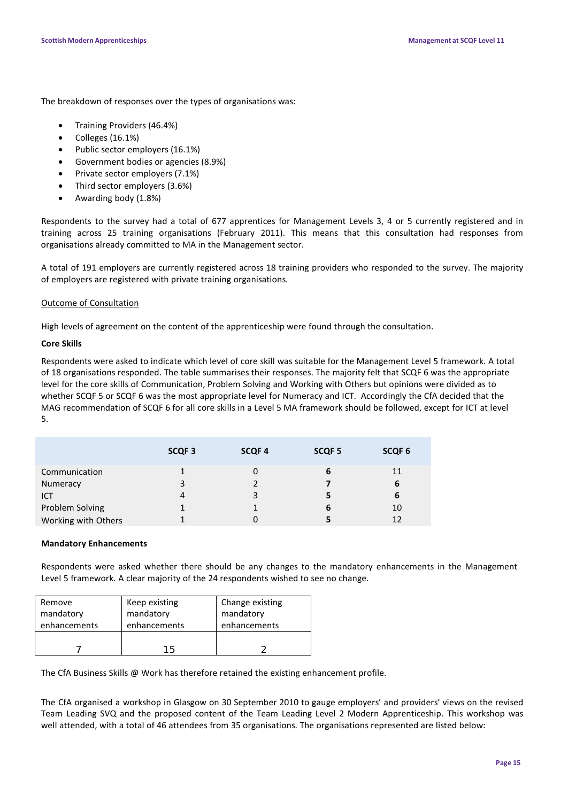The breakdown of responses over the types of organisations was:

- Training Providers (46.4%)
- Colleges (16.1%)
- Public sector employers (16.1%)
- Government bodies or agencies (8.9%)
- Private sector employers (7.1%)
- Third sector employers (3.6%)
- Awarding body (1.8%)

Respondents to the survey had a total of 677 apprentices for Management Levels 3, 4 or 5 currently registered and in training across 25 training organisations (February 2011). This means that this consultation had responses from organisations already committed to MA in the Management sector.

A total of 191 employers are currently registered across 18 training providers who responded to the survey. The majority of employers are registered with private training organisations.

### Outcome of Consultation

High levels of agreement on the content of the apprenticeship were found through the consultation.

### **Core Skills**

Respondents were asked to indicate which level of core skill was suitable for the Management Level 5 framework. A total of 18 organisations responded. The table summarises their responses. The majority felt that SCQF 6 was the appropriate level for the core skills of Communication, Problem Solving and Working with Others but opinions were divided as to whether SCQF 5 or SCQF 6 was the most appropriate level for Numeracy and ICT. Accordingly the CfA decided that the MAG recommendation of SCQF 6 for all core skills in a Level 5 MA framework should be followed, except for ICT at level 5.

|                     | SCQF <sub>3</sub> | <b>SCQF4</b> | SCQF <sub>5</sub> | SCQF <sub>6</sub> |
|---------------------|-------------------|--------------|-------------------|-------------------|
| Communication       |                   | 0            | 6                 | 11                |
| Numeracy            | 3                 |              |                   | 6                 |
| ICT                 | 4                 | 3            |                   | 6                 |
| Problem Solving     |                   |              | 6                 | 10                |
| Working with Others |                   | 0            |                   | 12                |

#### **Mandatory Enhancements**

Respondents were asked whether there should be any changes to the mandatory enhancements in the Management Level 5 framework. A clear majority of the 24 respondents wished to see no change.

| Remove       | Keep existing | Change existing |
|--------------|---------------|-----------------|
| mandatory    | mandatory     | mandatory       |
| enhancements | enhancements  | enhancements    |
|              |               |                 |
|              | 15            |                 |

The CfA Business Skills @ Work has therefore retained the existing enhancement profile.

The CfA organised a workshop in Glasgow on 30 September 2010 to gauge employers' and providers' views on the revised Team Leading SVQ and the proposed content of the Team Leading Level 2 Modern Apprenticeship. This workshop was well attended, with a total of 46 attendees from 35 organisations. The organisations represented are listed below: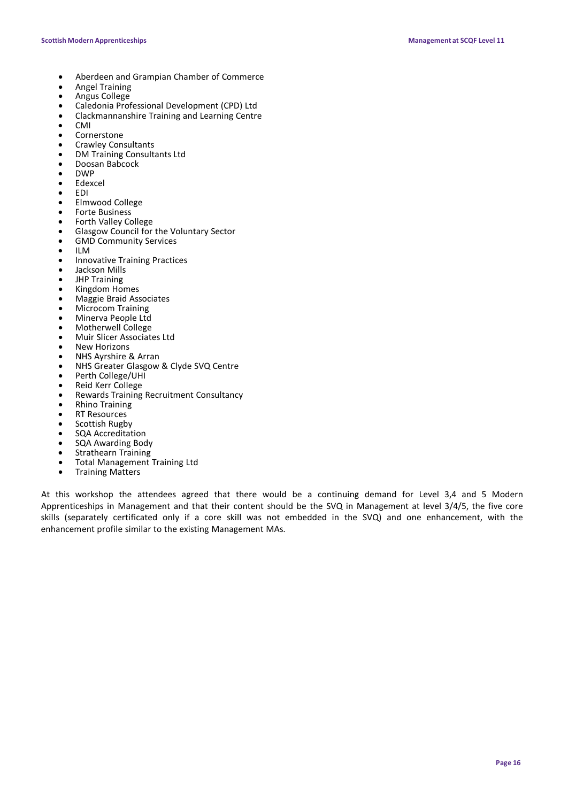- Aberdeen and Grampian Chamber of Commerce
- Angel Training
- Angus College
- Caledonia Professional Development (CPD) Ltd
- Clackmannanshire Training and Learning Centre
- CMI
- Cornerstone
- Crawley Consultants
- DM Training Consultants Ltd
- Doosan Babcock
- DWP
- Edexcel
- EDI
- Elmwood College
- Forte Business
- Forth Valley College
- Glasgow Council for the Voluntary Sector
- GMD Community Services
- ILM
- Innovative Training Practices
- Jackson Mills
- JHP Training
- Kingdom Homes
- Maggie Braid Associates
- Microcom Training
- Minerva People Ltd
- Motherwell College
- Muir Slicer Associates Ltd
- **New Horizons**
- NHS Ayrshire & Arran
- NHS Greater Glasgow & Clyde SVQ Centre
- Perth College/UHI
- Reid Kerr College
- Rewards Training Recruitment Consultancy
- Rhino Training
- **RT Resources**
- Scottish Rugby
- SQA Accreditation
- SQA Awarding Body
- Strathearn Training
- Total Management Training Ltd Training Matters
- 

At this workshop the attendees agreed that there would be a continuing demand for Level 3,4 and 5 Modern Apprenticeships in Management and that their content should be the SVQ in Management at level 3/4/5, the five core skills (separately certificated only if a core skill was not embedded in the SVQ) and one enhancement, with the enhancement profile similar to the existing Management MAs.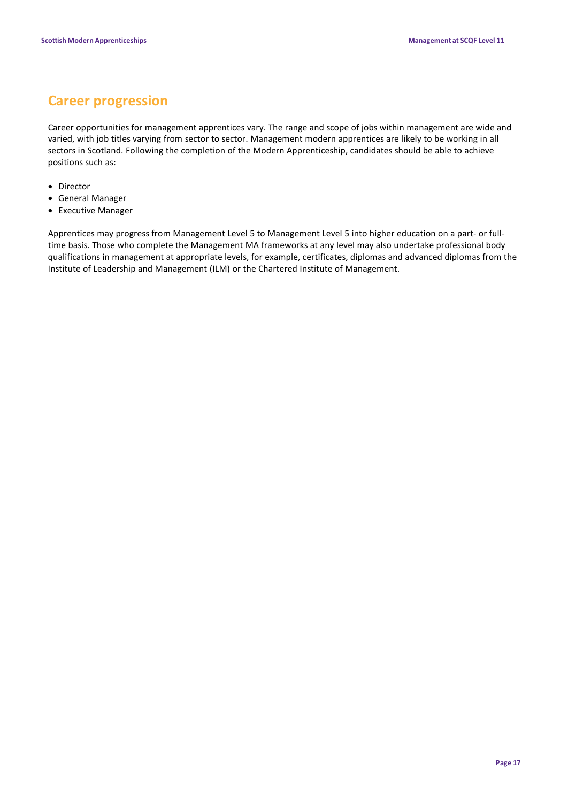### **Career progression**

Career opportunities for management apprentices vary. The range and scope of jobs within management are wide and varied, with job titles varying from sector to sector. Management modern apprentices are likely to be working in all sectors in Scotland. Following the completion of the Modern Apprenticeship, candidates should be able to achieve positions such as:

- Director
- General Manager
- Executive Manager

Apprentices may progress from Management Level 5 to Management Level 5 into higher education on a part- or fulltime basis. Those who complete the Management MA frameworks at any level may also undertake professional body qualifications in management at appropriate levels, for example, certificates, diplomas and advanced diplomas from the Institute of Leadership and Management (ILM) or the Chartered Institute of Management.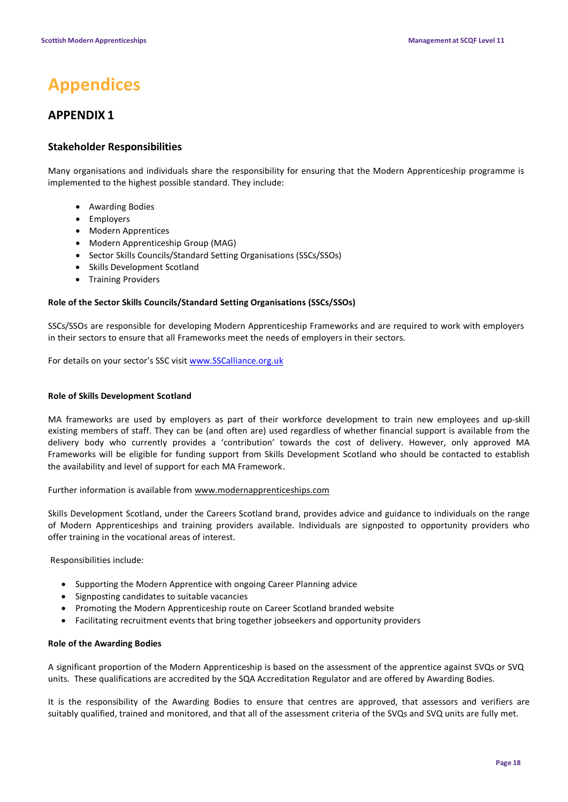## **Appendices**

### **APPENDIX 1**

### **Stakeholder Responsibilities**

Many organisations and individuals share the responsibility for ensuring that the Modern Apprenticeship programme is implemented to the highest possible standard. They include:

- Awarding Bodies
- Employers
- Modern Apprentices
- Modern Apprenticeship Group (MAG)
- Sector Skills Councils/Standard Setting Organisations (SSCs/SSOs)
- Skills Development Scotland
- Training Providers

### **Role of the Sector Skills Councils/Standard Setting Organisations (SSCs/SSOs)**

SSCs/SSOs are responsible for developing Modern Apprenticeship Frameworks and are required to work with employers in their sectors to ensure that all Frameworks meet the needs of employers in their sectors.

For details on your sector's SSC visi[t www.SSCalliance.org.uk](http://www.sscalliance.org.uk/)

### **Role of Skills Development Scotland**

MA frameworks are used by employers as part of their workforce development to train new employees and up-skill existing members of staff. They can be (and often are) used regardless of whether financial support is available from the delivery body who currently provides a 'contribution' towards the cost of delivery. However, only approved MA Frameworks will be eligible for funding support from Skills Development Scotland who should be contacted to establish the availability and level of support for each MA Framework.

Further information is available from [www.modernapprenticeships.com](http://www.modernapprenticeships.com/)

Skills Development Scotland, under the Careers Scotland brand, provides advice and guidance to individuals on the range of Modern Apprenticeships and training providers available. Individuals are signposted to opportunity providers who offer training in the vocational areas of interest.

Responsibilities include:

- Supporting the Modern Apprentice with ongoing Career Planning advice
- Signposting candidates to suitable vacancies
- Promoting the Modern Apprenticeship route on Career Scotland branded website
- Facilitating recruitment events that bring together jobseekers and opportunity providers

#### **Role of the Awarding Bodies**

A significant proportion of the Modern Apprenticeship is based on the assessment of the apprentice against SVQs or SVQ units. These qualifications are accredited by the SQA Accreditation Regulator and are offered by Awarding Bodies.

It is the responsibility of the Awarding Bodies to ensure that centres are approved, that assessors and verifiers are suitably qualified, trained and monitored, and that all of the assessment criteria of the SVQs and SVQ units are fully met.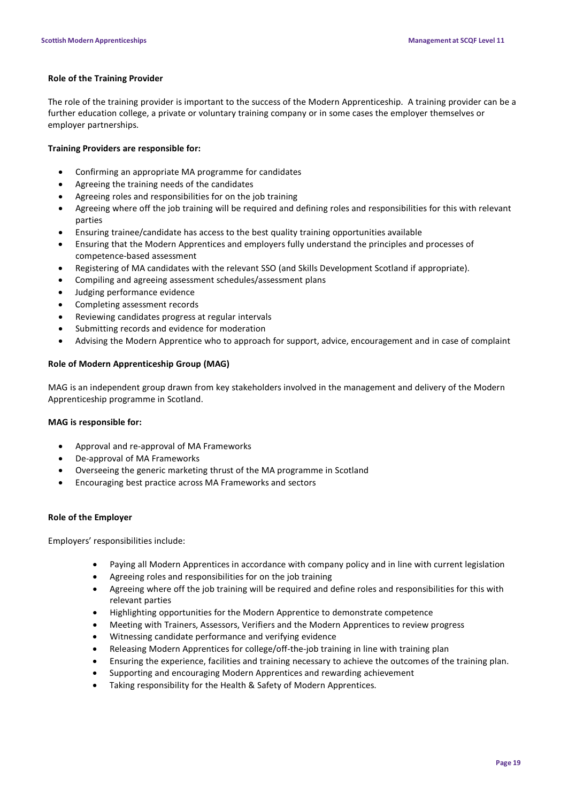### **Role of the Training Provider**

The role of the training provider is important to the success of the Modern Apprenticeship. A training provider can be a further education college, a private or voluntary training company or in some cases the employer themselves or employer partnerships.

#### **Training Providers are responsible for:**

- Confirming an appropriate MA programme for candidates
- Agreeing the training needs of the candidates
- Agreeing roles and responsibilities for on the job training
- Agreeing where off the job training will be required and defining roles and responsibilities for this with relevant parties
- Ensuring trainee/candidate has access to the best quality training opportunities available
- Ensuring that the Modern Apprentices and employers fully understand the principles and processes of competence-based assessment
- Registering of MA candidates with the relevant SSO (and Skills Development Scotland if appropriate).
- Compiling and agreeing assessment schedules/assessment plans
- Judging performance evidence
- Completing assessment records
- Reviewing candidates progress at regular intervals
- Submitting records and evidence for moderation
- Advising the Modern Apprentice who to approach for support, advice, encouragement and in case of complaint

### **Role of Modern Apprenticeship Group (MAG)**

MAG is an independent group drawn from key stakeholders involved in the management and delivery of the Modern Apprenticeship programme in Scotland.

#### **MAG is responsible for:**

- Approval and re-approval of MA Frameworks
- De-approval of MA Frameworks
- Overseeing the generic marketing thrust of the MA programme in Scotland
- Encouraging best practice across MA Frameworks and sectors

#### **Role of the Employer**

Employers' responsibilities include:

- Paying all Modern Apprentices in accordance with company policy and in line with current legislation
- Agreeing roles and responsibilities for on the job training
- Agreeing where off the job training will be required and define roles and responsibilities for this with relevant parties
- Highlighting opportunities for the Modern Apprentice to demonstrate competence
- Meeting with Trainers, Assessors, Verifiers and the Modern Apprentices to review progress
- Witnessing candidate performance and verifying evidence
- Releasing Modern Apprentices for college/off-the-job training in line with training plan
- Ensuring the experience, facilities and training necessary to achieve the outcomes of the training plan.
- Supporting and encouraging Modern Apprentices and rewarding achievement
- Taking responsibility for the Health & Safety of Modern Apprentices.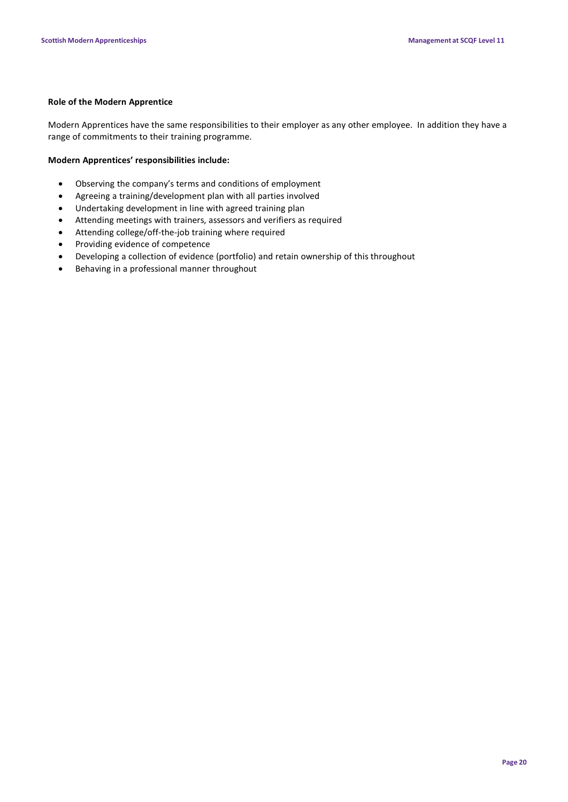### **Role of the Modern Apprentice**

Modern Apprentices have the same responsibilities to their employer as any other employee. In addition they have a range of commitments to their training programme.

### **Modern Apprentices' responsibilities include:**

- Observing the company's terms and conditions of employment
- Agreeing a training/development plan with all parties involved
- Undertaking development in line with agreed training plan
- Attending meetings with trainers, assessors and verifiers as required
- Attending college/off-the-job training where required
- Providing evidence of competence
- Developing a collection of evidence (portfolio) and retain ownership of this throughout
- Behaving in a professional manner throughout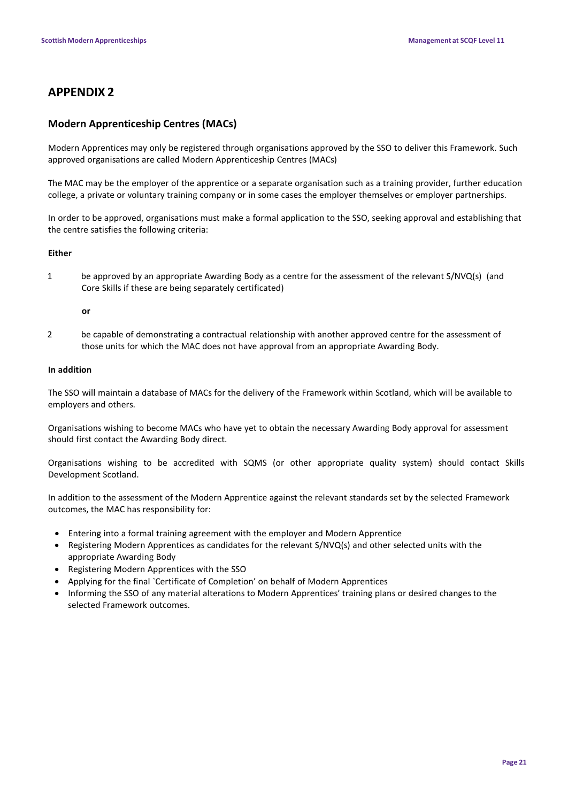### **APPENDIX 2**

### **Modern Apprenticeship Centres (MACs)**

Modern Apprentices may only be registered through organisations approved by the SSO to deliver this Framework. Such approved organisations are called Modern Apprenticeship Centres (MACs)

The MAC may be the employer of the apprentice or a separate organisation such as a training provider, further education college, a private or voluntary training company or in some cases the employer themselves or employer partnerships.

In order to be approved, organisations must make a formal application to the SSO, seeking approval and establishing that the centre satisfies the following criteria:

### **Either**

1 be approved by an appropriate Awarding Body as a centre for the assessment of the relevant S/NVQ(s) (and Core Skills if these are being separately certificated)

#### **or**

2 be capable of demonstrating a contractual relationship with another approved centre for the assessment of those units for which the MAC does not have approval from an appropriate Awarding Body.

### **In addition**

The SSO will maintain a database of MACs for the delivery of the Framework within Scotland, which will be available to employers and others.

Organisations wishing to become MACs who have yet to obtain the necessary Awarding Body approval for assessment should first contact the Awarding Body direct.

Organisations wishing to be accredited with SQMS (or other appropriate quality system) should contact Skills Development Scotland.

In addition to the assessment of the Modern Apprentice against the relevant standards set by the selected Framework outcomes, the MAC has responsibility for:

- Entering into a formal training agreement with the employer and Modern Apprentice
- Registering Modern Apprentices as candidates for the relevant S/NVQ(s) and other selected units with the appropriate Awarding Body
- Registering Modern Apprentices with the SSO
- Applying for the final `Certificate of Completion' on behalf of Modern Apprentices
- Informing the SSO of any material alterations to Modern Apprentices' training plans or desired changes to the selected Framework outcomes.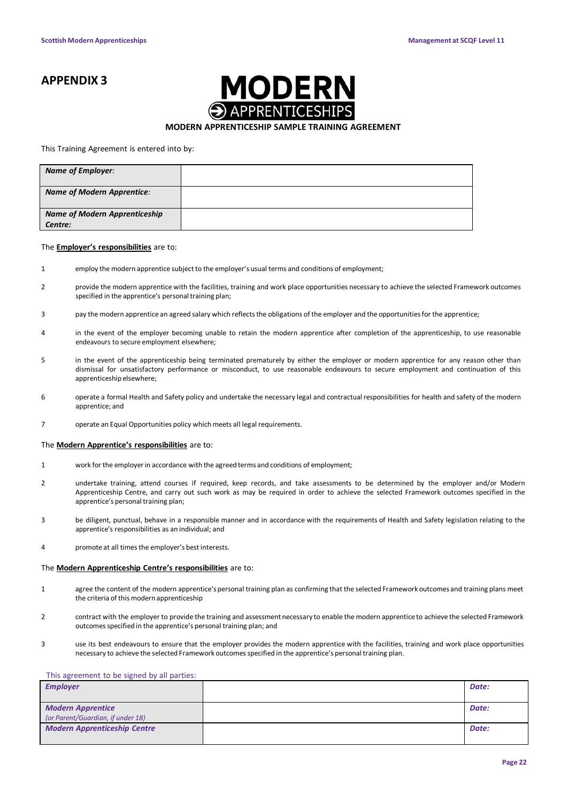### **APPENDIX 3**



#### **MODERN APPRENTICESHIP SAMPLE TRAINING AGREEMENT**

#### This Training Agreement is entered into by:

| <b>Name of Employer:</b>                        |  |
|-------------------------------------------------|--|
| <b>Name of Modern Apprentice:</b>               |  |
| <b>Name of Modern Apprenticeship</b><br>Centre: |  |
|                                                 |  |

#### The **Employer's responsibilities** are to:

- 1 employ the modern apprentice subject to the employer's usual terms and conditions of employment;
- 2 provide the modern apprentice with the facilities, training and work place opportunities necessary to achieve the selected Framework outcomes specified in the apprentice's personal training plan;
- 3 pay the modern apprentice an agreed salary which reflects the obligations of the employer and the opportunities for the apprentice;
- 4 in the event of the employer becoming unable to retain the modern apprentice after completion of the apprenticeship, to use reasonable endeavours to secure employment elsewhere;
- 5 in the event of the apprenticeship being terminated prematurely by either the employer or modern apprentice for any reason other than dismissal for unsatisfactory performance or misconduct, to use reasonable endeavours to secure employment and continuation of this apprenticeship elsewhere:
- 6 operate a formal Health and Safety policy and undertake the necessary legal and contractual responsibilities for health and safety of the modern apprentice; and
- 7 operate an Equal Opportunities policy which meets all legal requirements.

#### The **Modern Apprentice's responsibilities** are to:

- 1 work for the employerin accordance with the agreed terms and conditions of employment;
- 2 undertake training, attend courses if required, keep records, and take assessments to be determined by the employer and/or Modern Apprenticeship Centre, and carry out such work as may be required in order to achieve the selected Framework outcomes specified in the apprentice's personal training plan;
- 3 be diligent, punctual, behave in a responsible manner and in accordance with the requirements of Health and Safety legislation relating to the apprentice's responsibilities as an individual; and
- 4 promote at all timesthe employer's best interests.

### The **Modern Apprenticeship Centre's responsibilities** are to:

- 1 agree the content of the modern apprentice'spersonal training plan as confirming that the selected Framework outcomes and training plans meet the criteria of this modern apprenticeship
- 2 contract with the employer to provide the training and assessment necessary to enable the modern apprentice to achieve the selected Framework outcomes specified in the apprentice's personal training plan; and
- 3 use its best endeavours to ensure that the employer provides the modern apprentice with the facilities, training and work place opportunities necessary to achieve the selected Framework outcomes specified in the apprentice's personal training plan.

#### This agreement to be signed by all parties:

| <b>Employer</b>                     | Date: |
|-------------------------------------|-------|
|                                     |       |
| <b>Modern Apprentice</b>            | Date: |
| (or Parent/Guardian, if under 18)   |       |
| <b>Modern Apprenticeship Centre</b> | Date: |
|                                     |       |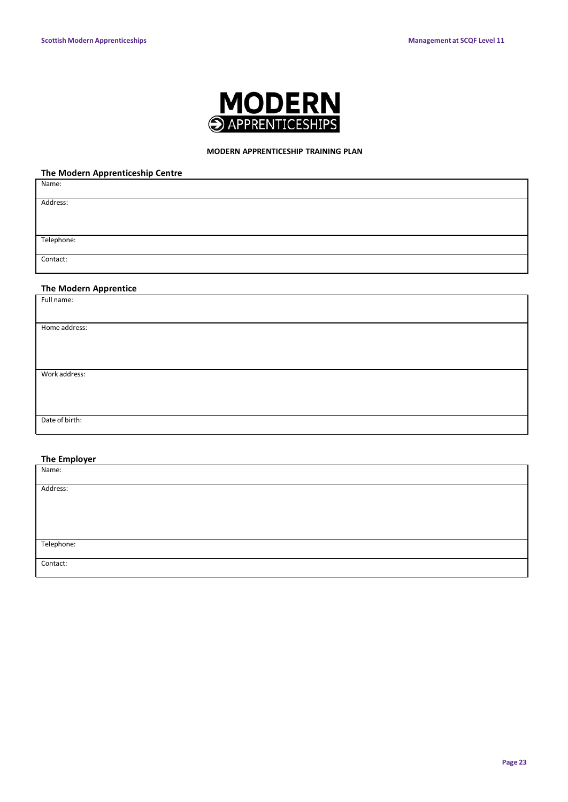

### **MODERN APPRENTICESHIP TRAINING PLAN**

### **The Modern Apprenticeship Centre**

| . .<br>Name:                 |  |
|------------------------------|--|
| Address:                     |  |
|                              |  |
| Telephone:                   |  |
| Contact:                     |  |
|                              |  |
| <b>The Modern Apprentice</b> |  |
| Full name:                   |  |
|                              |  |
| Home address:                |  |
|                              |  |
|                              |  |
| Work address:                |  |
|                              |  |
|                              |  |
| Date of birth:               |  |
|                              |  |

### **The Employer**

| Name:      |  |
|------------|--|
|            |  |
| Address:   |  |
|            |  |
|            |  |
|            |  |
|            |  |
|            |  |
| Telephone: |  |
|            |  |
| Contact:   |  |
|            |  |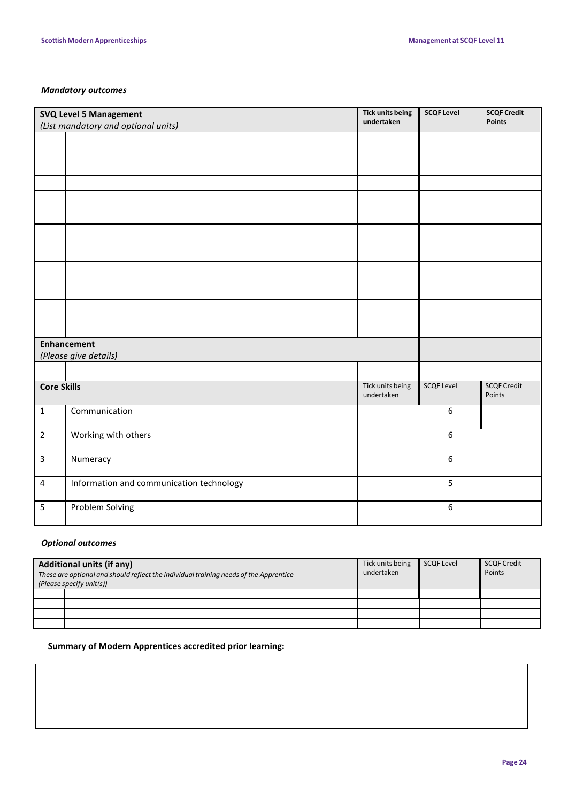### *Mandatory outcomes*

|                                             | <b>SVQ Level 5 Management</b><br>(List mandatory and optional units) | <b>Tick units being</b><br>undertaken | <b>SCQF Level</b> | <b>SCQF Credit</b><br><b>Points</b> |
|---------------------------------------------|----------------------------------------------------------------------|---------------------------------------|-------------------|-------------------------------------|
|                                             |                                                                      |                                       |                   |                                     |
|                                             |                                                                      |                                       |                   |                                     |
|                                             |                                                                      |                                       |                   |                                     |
|                                             |                                                                      |                                       |                   |                                     |
|                                             |                                                                      |                                       |                   |                                     |
|                                             |                                                                      |                                       |                   |                                     |
|                                             |                                                                      |                                       |                   |                                     |
|                                             |                                                                      |                                       |                   |                                     |
|                                             |                                                                      |                                       |                   |                                     |
|                                             |                                                                      |                                       |                   |                                     |
|                                             |                                                                      |                                       |                   |                                     |
|                                             |                                                                      |                                       |                   |                                     |
| <b>Enhancement</b><br>(Please give details) |                                                                      |                                       |                   |                                     |
|                                             |                                                                      |                                       |                   |                                     |
| <b>Core Skills</b>                          |                                                                      | Tick units being<br>undertaken        | <b>SCQF Level</b> | <b>SCQF Credit</b><br>Points        |
| $\mathbf{1}$                                | Communication                                                        |                                       | $\boldsymbol{6}$  |                                     |
| $\overline{2}$                              | Working with others                                                  |                                       | $\boldsymbol{6}$  |                                     |
| 3                                           | Numeracy                                                             |                                       | $\boldsymbol{6}$  |                                     |
| 4                                           | Information and communication technology                             |                                       | 5                 |                                     |
| 5                                           | Problem Solving                                                      |                                       | $\boldsymbol{6}$  |                                     |

### *Optional outcomes*

| <b>Additional units (if any)</b><br>These are optional and should reflect the individual training needs of the Apprentice<br>(Please specify unit(s)) |  | Tick units being<br>undertaken | <b>SCQF Level</b> | <b>SCQF Credit</b><br>Points |
|-------------------------------------------------------------------------------------------------------------------------------------------------------|--|--------------------------------|-------------------|------------------------------|
|                                                                                                                                                       |  |                                |                   |                              |
|                                                                                                                                                       |  |                                |                   |                              |
|                                                                                                                                                       |  |                                |                   |                              |
|                                                                                                                                                       |  |                                |                   |                              |

### **Summary of Modern Apprentices accredited prior learning:**